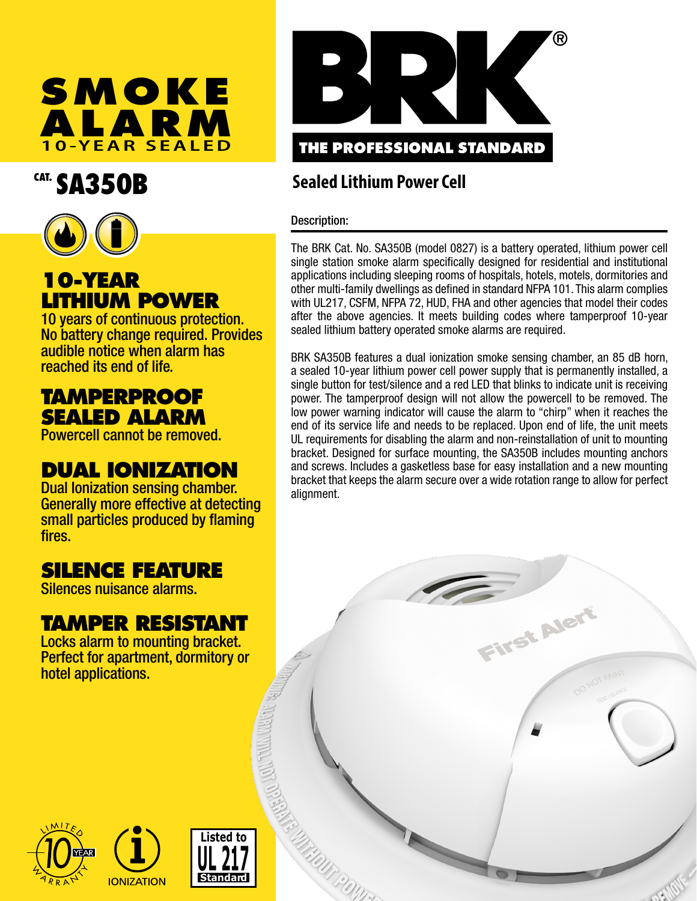

# CAT. SA350B



## **10-YEAR LITHIUM POWER**

10 years of continuous protection. No battery change required. Provides audible notice when alarm has reached its end of life.

### **TAMPERPROOF SEALED ALARM**

Powercell cannot be removed.

### **DUAL IONIZATION**

Dual Ionization sensing chamber. Generally more effective at detecting small particles produced by flaming fires.

### **SILENCE FEATURE**

Silences nuisance alarms.

### **TAMPER RESISTANT**

Locks alarm to mounting bracket. Perfect for apartment, dormitory or hotel applications.



### **Sealed Lithium Power Cell**

#### Description:

The BRK Cat. No. SA350B (model 0827) is a battery operated, lithium power cell single station smoke alarm specifically designed for residential and institutional applications including sleeping rooms of hospitals, hotels, motels, dormitories and other multi-family dwellings as defined in standard NFPA 101. This alarm complies with UL217, CSFM, NFPA 72, HUD, FHA and other agencies that model their codes after the above agencies. It meets building codes where tamperproof 10-year sealed lithium battery operated smoke alarms are required.

BRK SA350B features a dual ionization smoke sensing chamber, an 85 dB horn, a sealed 10-year lithium power cell power supply that is permanently installed, a single button for test/silence and a red LED that blinks to indicate unit is receiving power. The tamperproof design will not allow the powercell to be removed. The low power warning indicator will cause the alarm to "chirp" when it reaches the end of its service life and needs to be replaced. Upon end of life, the unit meets UL requirements for disabling the alarm and non-reinstallation of unit to mounting bracket. Designed for surface mounting, the SA350B includes mounting anchors and screws. Includes a gasketless base for easy installation and a new mounting bracket that keeps the alarm secure over a wide rotation range to allow for perfect alignment.

**I'ST AIE**